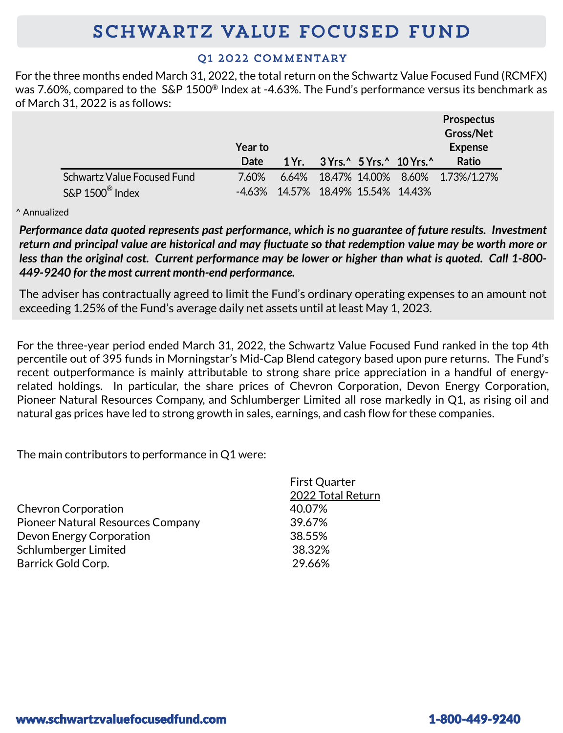# **SCHWARTZ VALUE FOCUSED FUND**

## 01 2022 COMMENTARY

For the three months ended March 31, 2022, the total return on the Schwartz Value Focused Fund (RCMFX) was 7.60%, compared to the S&P 1500® Index at -4.63%. The Fund's performance versus its benchmark as of March 31, 2022 is as follows:

|                               | <b>Year to</b> |                             |  |                          | <b>Prospectus</b><br>Gross/Net<br><b>Expense</b> |
|-------------------------------|----------------|-----------------------------|--|--------------------------|--------------------------------------------------|
|                               | Date           | 1Yr.                        |  | $3Yrs.^25Yrs.^210Yrs.^2$ | <b>Ratio</b>                                     |
| Schwartz Value Focused Fund   | 7.60%          |                             |  |                          | 6.64% 18.47% 14.00% 8.60% 1.73%/1.27%            |
| $S\&P 1500^{\circledR}$ Index | -4.63%         | 14.57% 18.49% 15.54% 14.43% |  |                          |                                                  |

^ Annualized

*Performance data quoted represents past performance, which is no guarantee of future results. Investment* return and principal value are historical and may fluctuate so that redemption value may be worth more or less than the original cost. Current performance may be lower or higher than what is quoted. Call 1-800-*449-9240 for the most current month-end performance.*

The adviser has contractually agreed to limit the Fund's ordinary operating expenses to an amount not exceeding 1.25% of the Fund's average daily net assets until at least May 1, 2023.

For the three-year period ended March 31, 2022, the Schwartz Value Focused Fund ranked in the top 4th percentile out of 395 funds in Morningstar's Mid-Cap Blend category based upon pure returns. The Fund's recent outperformance is mainly attributable to strong share price appreciation in a handful of energyrelated holdings. In particular, the share prices of Chevron Corporation, Devon Energy Corporation, Pioneer Natural Resources Company, and Schlumberger Limited all rose markedly in Q1, as rising oil and natural gas prices have led to strong growth in sales, earnings, and cash flow for these companies.

 $Eirct$  Quarter

The main contributors to performance in Q1 were:

|                                          | THE QUATLE        |
|------------------------------------------|-------------------|
|                                          | 2022 Total Return |
| <b>Chevron Corporation</b>               | 40.07%            |
| <b>Pioneer Natural Resources Company</b> | 39.67%            |
| Devon Energy Corporation                 | 38.55%            |
| Schlumberger Limited                     | 38.32%            |
| Barrick Gold Corp.                       | 29.66%            |
|                                          |                   |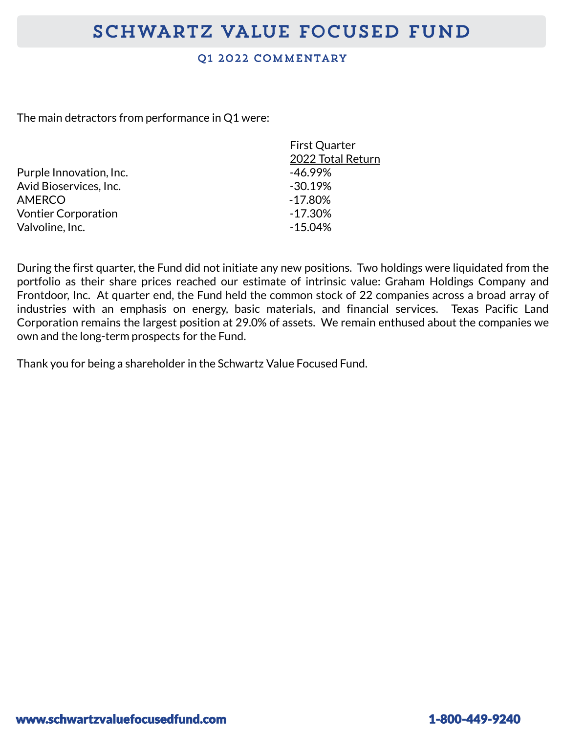## Q1 2022 COMMENTARY

The main detractors from performance in Q1 were:

|                            | <b>First Quarter</b> |  |
|----------------------------|----------------------|--|
|                            | 2022 Total Return    |  |
| Purple Innovation, Inc.    | $-46.99%$            |  |
| Avid Bioservices, Inc.     | $-30.19%$            |  |
| <b>AMERCO</b>              | $-17.80\%$           |  |
| <b>Vontier Corporation</b> | $-17.30\%$           |  |
| Valvoline, Inc.            | $-15.04%$            |  |
|                            |                      |  |

During the first quarter, the Fund did not initiate any new positions. Two holdings were liquidated from the portfolio as their share prices reached our estimate of intrinsic value: Graham Holdings Company and Frontdoor, Inc. At quarter end, the Fund held the common stock of 22 companies across a broad array of industries with an emphasis on energy, basic materials, and financial services. Texas Pacific Land Corporation remains the largest position at 29.0% of assets. We remain enthused about the companies we own and the long-term prospects for the Fund.

Thank you for being a shareholder in the Schwartz Value Focused Fund.